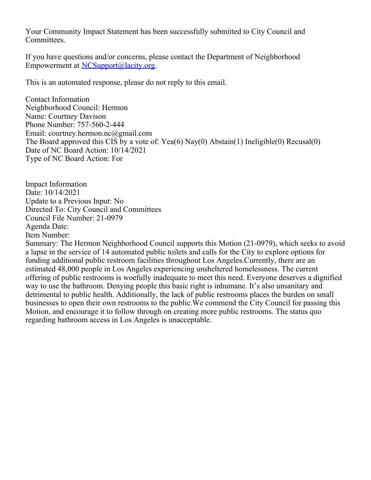Your Community Impact Statement has been successfully submitted to City Council and Committees.

If you have questions and/or concerns, please contact the Department of Neighborhood Empowerment at [NCSupport@lacity.org](mailto:NCSupport@lacity.org).

This is an automated response, please do not reply to this email.

Contact Information Neighborhood Council: Hermon Name: Courtney Davison Phone Number: 757-560-2-444 Email: courtney.hermon.nc@gmail.com The Board approved this CIS by a vote of: Yea(6) Nay(0) Abstain(1) Ineligible(0) Recusal(0) Date of NC Board Action: 10/14/2021 Type of NC Board Action: For

Impact Information Date: 10/14/2021 Update to a Previous Input: No Directed To: City Council and Committees Council File Number: 21-0979 Agenda Date: Item Number:

Summary: The Hermon Neighborhood Council supports this Motion (21-0979), which seeks to avoid a lapse in the service of 14 automated public toilets and calls for the City to explore options for funding additional public restroom facilities throughout Los Angeles.Currently, there are an estimated 48,000 people in Los Angeles experiencing unsheltered homelessness. The current offering of public restrooms is woefully inadequate to meet this need. Everyone deserves a dignified way to use the bathroom. Denying people this basic right is inhumane. It's also unsanitary and detrimental to public health. Additionally, the lack of public restrooms places the burden on small businesses to open their own restrooms to the public.We commend the City Council for passing this Motion, and encourage it to follow through on creating more public restrooms. The status quo regarding bathroom access in Los Angeles is unacceptable.